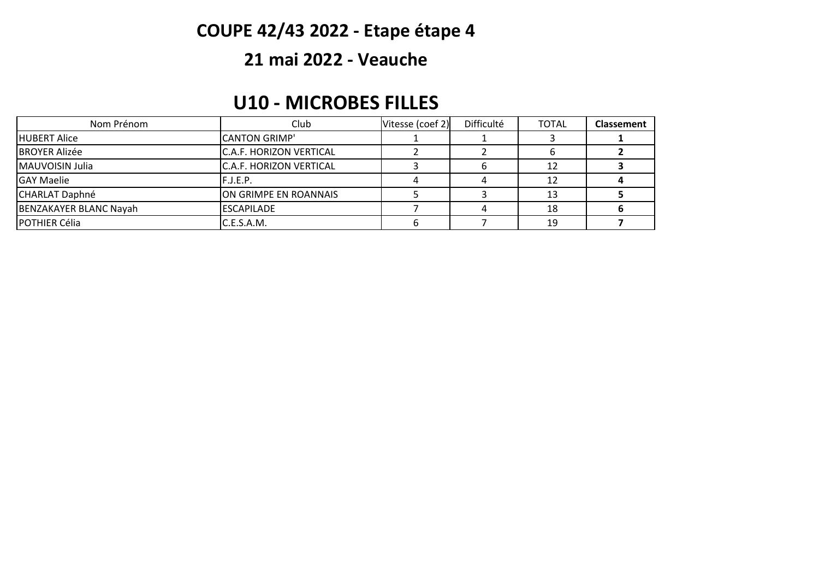# **COUPE 42/43 2022 - Etape étape 4**

#### **21 mai 2022 - Veauche**

#### **U10 - MICROBES FILLES**

| Nom Prénom             | Club                           | Vitesse (coef 2) | Difficulté | <b>TOTAL</b> | <b>Classement</b> |
|------------------------|--------------------------------|------------------|------------|--------------|-------------------|
| <b>HUBERT Alice</b>    | <b>CANTON GRIMP'</b>           |                  |            |              |                   |
| <b>BROYER Alizée</b>   | <b>C.A.F. HORIZON VERTICAL</b> |                  |            |              |                   |
| MAUVOISIN Julia        | <b>C.A.F. HORIZON VERTICAL</b> |                  |            |              |                   |
| <b>GAY Maelie</b>      | F.J.E.P.                       |                  |            |              |                   |
| <b>CHARLAT Daphné</b>  | ON GRIMPE EN ROANNAIS          |                  |            | 13           |                   |
| BENZAKAYER BLANC Nayah | <b>ESCAPILADE</b>              |                  |            | 18           |                   |
| <b>IPOTHIER Célia</b>  | C.E.S.A.M.                     |                  |            | 19           |                   |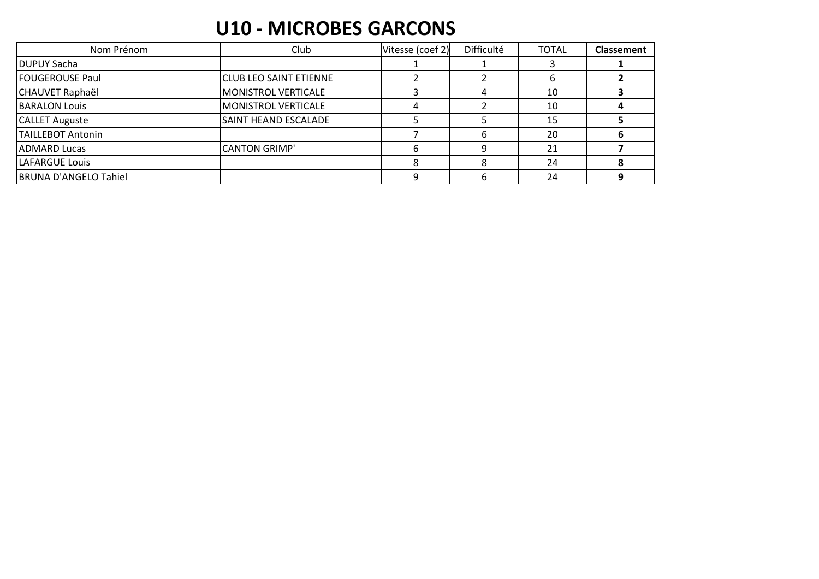### **U10 - MICROBES GARCONS**

| Nom Prénom                   | Club                          | Vitesse (coef 2) | Difficulté | <b>TOTAL</b> | <b>Classement</b> |
|------------------------------|-------------------------------|------------------|------------|--------------|-------------------|
| <b>DUPUY Sacha</b>           |                               |                  |            |              |                   |
| <b>FOUGEROUSE Paul</b>       | <b>CLUB LEO SAINT ETIENNE</b> |                  |            | b            |                   |
| CHAUVET Raphaël              | <b>MONISTROL VERTICALE</b>    |                  |            | 10           |                   |
| <b>BARALON Louis</b>         | MONISTROL VERTICALE           |                  |            | 10           |                   |
| <b>CALLET Auguste</b>        | <b>SAINT HEAND ESCALADE</b>   |                  |            | 15           |                   |
| <b>TAILLEBOT Antonin</b>     |                               |                  | 6          | 20           |                   |
| <b>ADMARD Lucas</b>          | <b>CANTON GRIMP'</b>          | 6                | a          | 21           |                   |
| LAFARGUE Louis               |                               |                  |            | 24           |                   |
| <b>BRUNA D'ANGELO Tahiel</b> |                               | Q                |            | 24           |                   |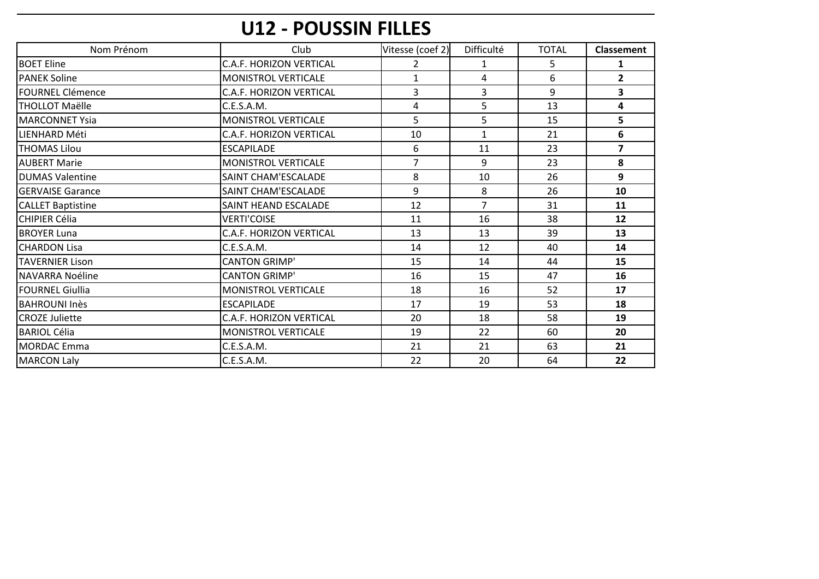# U12 - POUSSIN FILLES

| Nom Prénom               | Club                           | Vitesse (coef 2) | <b>Difficulté</b> | <b>TOTAL</b> | <b>Classement</b> |
|--------------------------|--------------------------------|------------------|-------------------|--------------|-------------------|
| <b>BOET Eline</b>        | <b>C.A.F. HORIZON VERTICAL</b> | 2                | 1                 | 5            | 1                 |
| <b>PANEK Soline</b>      | MONISTROL VERTICALE            | $\mathbf{1}$     | 4                 | 6            | $\overline{2}$    |
| <b>IFOURNEL Clémence</b> | C.A.F. HORIZON VERTICAL        | 3                | 3                 | 9            | 3                 |
| <b>THOLLOT Maëlle</b>    | C.E.S.A.M.                     | 4                | 5                 | 13           | 4                 |
| <b>MARCONNET Ysia</b>    | <b>MONISTROL VERTICALE</b>     | 5                | 5                 | 15           | 5                 |
| <b>ILIENHARD Méti</b>    | <b>C.A.F. HORIZON VERTICAL</b> | 10               | $\mathbf{1}$      | 21           | 6                 |
| <b>THOMAS Lilou</b>      | <b>ESCAPILADE</b>              | 6                | 11                | 23           | $\overline{ }$    |
| <b>AUBERT Marie</b>      | <b>MONISTROL VERTICALE</b>     | $\overline{7}$   | 9                 | 23           | 8                 |
| <b>DUMAS Valentine</b>   | SAINT CHAM'ESCALADE            | 8                | 10                | 26           | 9                 |
| IGERVAISE Garance        | SAINT CHAM'ESCALADE            | 9                | 8                 | 26           | 10                |
| <b>CALLET Baptistine</b> | SAINT HEAND ESCALADE           | 12               | $\overline{7}$    | 31           | 11                |
| <b>CHIPIER Célia</b>     | <b>VERTI'COISE</b>             | 11               | 16                | 38           | 12                |
| <b>BROYER Luna</b>       | <b>C.A.F. HORIZON VERTICAL</b> | 13               | 13                | 39           | 13                |
| <b>CHARDON Lisa</b>      | C.E.S.A.M.                     | 14               | 12                | 40           | 14                |
| <b>TAVERNIER Lison</b>   | <b>CANTON GRIMP'</b>           | 15               | 14                | 44           | 15                |
| NAVARRA Noéline          | <b>CANTON GRIMP'</b>           | 16               | 15                | 47           | 16                |
| <b>FOURNEL Giullia</b>   | MONISTROL VERTICALE            | 18               | 16                | 52           | 17                |
| <b>BAHROUNI Inès</b>     | <b>ESCAPILADE</b>              | 17               | 19                | 53           | 18                |
| <b>CROZE Juliette</b>    | C.A.F. HORIZON VERTICAL        | 20               | 18                | 58           | 19                |
| <b>BARIOL Célia</b>      | MONISTROL VERTICALE            | 19               | 22                | 60           | 20                |
| <b>MORDAC</b> Emma       | C.E.S.A.M.                     | 21               | 21                | 63           | 21                |
| <b>MARCON Laly</b>       | C.E.S.A.M.                     | 22               | 20                | 64           | 22                |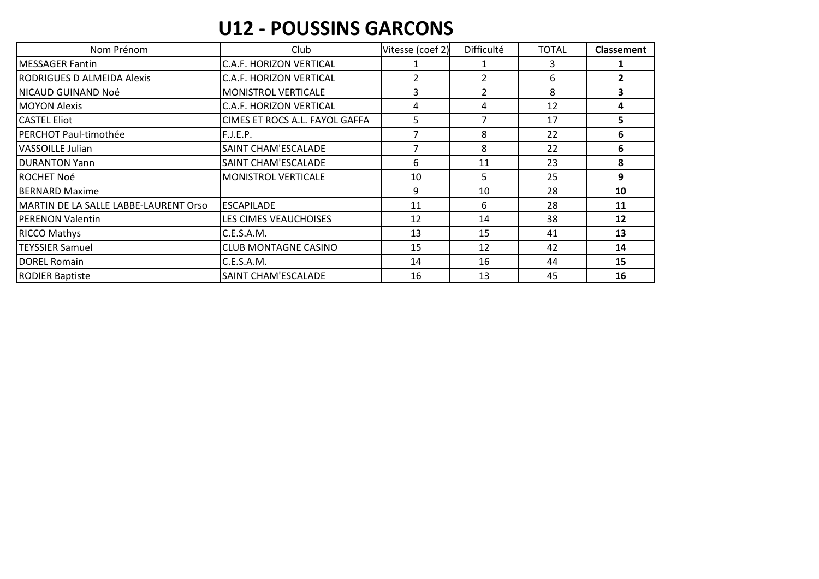#### **U12 - POUSSINS GARCONS**

| Nom Prénom                            | Club                           | Vitesse (coef 2) | Difficulté     | <b>TOTAL</b> | <b>Classement</b> |
|---------------------------------------|--------------------------------|------------------|----------------|--------------|-------------------|
| <b>MESSAGER Fantin</b>                | C.A.F. HORIZON VERTICAL        |                  |                | 3            |                   |
| <b>RODRIGUES D ALMEIDA Alexis</b>     | C.A.F. HORIZON VERTICAL        | 2                | $\overline{2}$ | 6            |                   |
| NICAUD GUINAND Noé                    | <b>MONISTROL VERTICALE</b>     | 3                |                | 8            | 3                 |
| <b>MOYON Alexis</b>                   | <b>C.A.F. HORIZON VERTICAL</b> | 4                | 4              | 12           | 4                 |
| <b>CASTEL Eliot</b>                   | CIMES ET ROCS A.L. FAYOL GAFFA | 5.               |                | 17           | 5.                |
| PERCHOT Paul-timothée                 | F.J.E.P.                       |                  | 8              | 22           | 6                 |
| <b>VASSOILLE Julian</b>               | SAINT CHAM'ESCALADE            | 7                | 8              | 22           | 6                 |
| <b>DURANTON Yann</b>                  | SAINT CHAM'ESCALADE            | 6                | 11             | 23           | 8                 |
| <b>ROCHET Noé</b>                     | <b>MONISTROL VERTICALE</b>     | 10               | 5              | 25           | 9                 |
| <b>BERNARD Maxime</b>                 |                                | 9                | 10             | 28           | 10                |
| MARTIN DE LA SALLE LABBE-LAURENT Orso | <b>ESCAPILADE</b>              | 11               | 6              | 28           | 11                |
| <b>PERENON Valentin</b>               | LES CIMES VEAUCHOISES          | 12               | 14             | 38           | 12                |
| <b>RICCO Mathys</b>                   | C.E.S.A.M.                     | 13               | 15             | 41           | 13                |
| <b>TEYSSIER Samuel</b>                | <b>CLUB MONTAGNE CASINO</b>    | 15               | 12             | 42           | 14                |
| <b>DOREL Romain</b>                   | C.E.S.A.M.                     | 14               | 16             | 44           | 15                |
| <b>RODIER Baptiste</b>                | SAINT CHAM'ESCALADE            | 16               | 13             | 45           | 16                |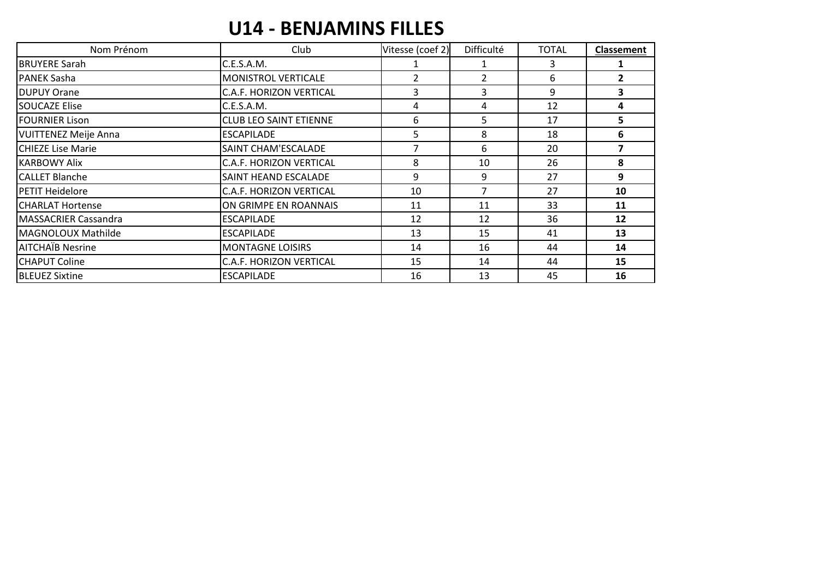## **U14 - BENJAMINS FILLES**

| Nom Prénom                  | Club                           | Vitesse (coef 2) | Difficulté     | <b>TOTAL</b> | <b>Classement</b> |
|-----------------------------|--------------------------------|------------------|----------------|--------------|-------------------|
| <b>BRUYERE Sarah</b>        | C.E.S.A.M.                     |                  |                | 3            |                   |
| <b>PANEK Sasha</b>          | MONISTROL VERTICALE            | $\overline{2}$   | $\overline{2}$ | 6            | $\overline{2}$    |
| <b>DUPUY Orane</b>          | C.A.F. HORIZON VERTICAL        | 3                | 3              | 9            | 3                 |
| <b>SOUCAZE Elise</b>        | C.E.S.A.M.                     | 4                | 4              | 12           | 4                 |
| <b>FOURNIER Lison</b>       | <b>CLUB LEO SAINT ETIENNE</b>  | 6                | 5              | 17           | 5                 |
| <b>VUITTENEZ Meije Anna</b> | <b>ESCAPILADE</b>              | 5                | 8              | 18           | 6                 |
| CHIEZE Lise Marie           | SAINT CHAM'ESCALADE            |                  | 6              | 20           | 7                 |
| <b>KARBOWY Alix</b>         | C.A.F. HORIZON VERTICAL        | 8                | 10             | 26           | 8                 |
| <b>CALLET Blanche</b>       | SAINT HEAND ESCALADE           | 9                | 9              | 27           | 9                 |
| PETIT Heidelore             | <b>C.A.F. HORIZON VERTICAL</b> | 10               |                | 27           | 10                |
| <b>CHARLAT Hortense</b>     | ON GRIMPE EN ROANNAIS          | 11               | 11             | 33           | 11                |
| MASSACRIER Cassandra        | <b>ESCAPILADE</b>              | 12               | 12             | 36           | 12                |
| MAGNOLOUX Mathilde          | <b>ESCAPILADE</b>              | 13               | 15             | 41           | 13                |
| <b>AITCHAIB Nesrine</b>     | <b>MONTAGNE LOISIRS</b>        | 14               | 16             | 44           | 14                |
| <b>CHAPUT Coline</b>        | C.A.F. HORIZON VERTICAL        | 15               | 14             | 44           | 15                |
| <b>BLEUEZ Sixtine</b>       | <b>ESCAPILADE</b>              | 16               | 13             | 45           | 16                |